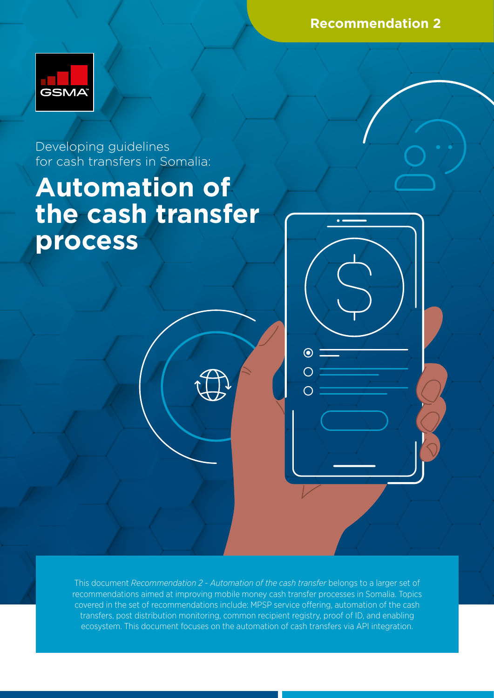**Recommendation 2**



Developing guidelines for cash transfers in Somalia:

# **Automation of the cash transfer process**

This document *Recommendation 2 - Automation of the cash transfer* belongs to a larger set of recommendations aimed at improving mobile money cash transfer processes in Somalia. Topics covered in the set of recommendations include: MPSP service offering, automation of the cash transfers, post distribution monitoring, common recipient registry, proof of ID, and enabling ecosystem. This document focuses on the automation of cash transfers via API integration.

 $\odot$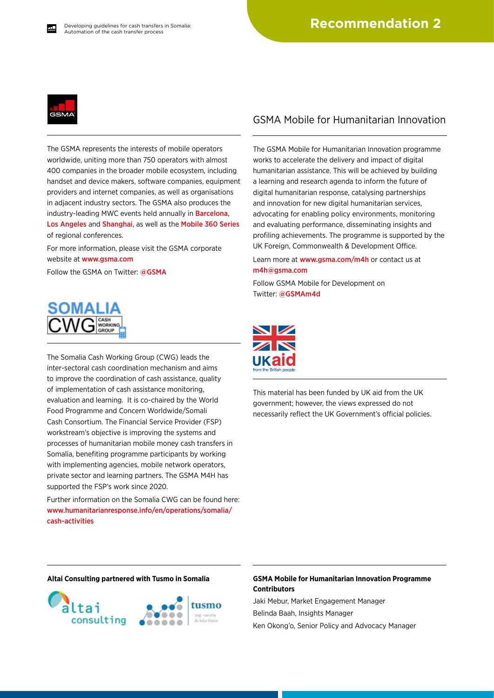

The GSMA represents the interests of mobile operators worldwide, uniting more than 750 operators with almost 400 companies in the broader mobile ecosystem, including handset and device makers, software companies, equipment providers and internet companies, as well as organisations in adjacent industry sectors. The GSMA also produces the industry-leading MWC events held annually in [Barcelona](https://www.mwcbarcelona.com), [Los Angeles](https://www.mwclosangeles.com/home1/) and [Shanghai](https://www.mwcshanghai.com), as well as the [Mobile 360 Series](https://www.mobile360series.com) of regional conferences.

For more information, please visit the GSMA corporate website at [www.gsma.com](https://www.gsma.com)

Follow the GSMA on Twitter: [@GSMA](https://twitter.com/gsma)



The Somalia Cash Working Group (CWG) leads the inter-sectoral cash coordination mechanism and aims to improve the coordination of cash assistance, quality of implementation of cash assistance monitoring, evaluation and learning. It is co-chaired by the World Food Programme and Concern Worldwide/Somali Cash Consortium. The Financial Service Provider (FSP) workstream's objective is improving the systems and processes of humanitarian mobile money cash transfers in Somalia, benefiting programme participants by working with implementing agencies, mobile network operators, private sector and learning partners. The GSMA M4H has supported the FSP's work since 2020.

Further information on the Somalia CWG can be found here: [www.humanitarianresponse.info/en/operations/somalia/](https://www.humanitarianresponse.info/en/operations/somalia/cash-activities) [cash-activities](https://www.humanitarianresponse.info/en/operations/somalia/cash-activities)

#### GSMA Mobile for Humanitarian Innovation

The GSMA Mobile for Humanitarian Innovation programme works to accelerate the delivery and impact of digital humanitarian assistance. This will be achieved by building a learning and research agenda to inform the future of digital humanitarian response, catalysing partnerships and innovation for new digital humanitarian services, advocating for enabling policy environments, monitoring and evaluating performance, disseminating insights and profiling achievements. The programme is supported by the UK Foreign, Commonwealth & Development Office.

Learn more at [www.gsma.com/m4h](https://www.gsma.com/mobilefordevelopment/mobile-for-humanitarian-innovation/) or contact us at [m4h@gsma.com](mailto:m4h%40gsma.com?subject=) 

Follow GSMA Mobile for Development on Twitter: [@GSMAm4d](https://twitter.com/GSMAm4d)



This material has been funded by UK aid from the UK government; however, the views expressed do not necessarily reflect the UK Government's official policies.



#### **Altai Consulting partnered with Tusmo in Somalia GSMA Mobile for Humanitarian Innovation Programme Contributors**

Jaki Mebur, Market Engagement Manager Belinda Baah, Insights Manager Ken Okong'o, Senior Policy and Advocacy Manager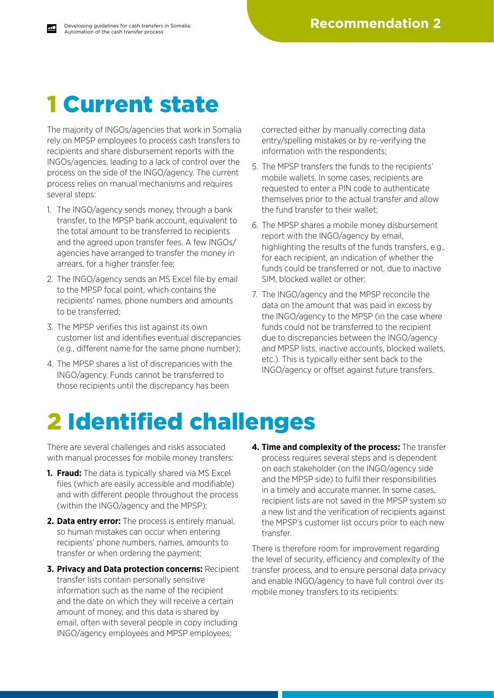### 1 Current state

The majority of INGOs/agencies that work in Somalia rely on MPSP employees to process cash transfers to recipients and share disbursement reports with the INGOs/agencies, leading to a lack of control over the process on the side of the INGO/agency. The current process relies on manual mechanisms and requires several steps:

- 1. The INGO/agency sends money, through a bank transfer, to the MPSP bank account, equivalent to the total amount to be transferred to recipients and the agreed upon transfer fees. A few INGOs/ agencies have arranged to transfer the money in arrears, for a higher transfer fee;
- 2. The INGO/agency sends an MS Excel file by email to the MPSP focal point, which contains the recipients' names, phone numbers and amounts to be transferred;
- 3. The MPSP verifies this list against its own customer list and identifies eventual discrepancies (e.g., different name for the same phone number);
- 4. The MPSP shares a list of discrepancies with the INGO/agency. Funds cannot be transferred to those recipients until the discrepancy has been

corrected either by manually correcting data entry/spelling mistakes or by re-verifying the information with the respondents;

- 5. The MPSP transfers the funds to the recipients' mobile wallets. In some cases, recipients are requested to enter a PIN code to authenticate themselves prior to the actual transfer and allow the fund transfer to their wallet;
- 6. The MPSP shares a mobile money disbursement report with the INGO/agency by email, highlighting the results of the funds transfers, e.g., for each recipient, an indication of whether the funds could be transferred or not, due to inactive SIM, blocked wallet or other;
- 7. The INGO/agency and the MPSP reconcile the data on the amount that was paid in excess by the INGO/agency to the MPSP (in the case where funds could not be transferred to the recipient due to discrepancies between the INGO/agency and MPSP lists, inactive accounts, blocked wallets, etc.). This is typically either sent back to the INGO/agency or offset against future transfers.

# 2 Identified challenges

There are several challenges and risks associated with manual processes for mobile money transfers:

- **1. Fraud:** The data is typically shared via MS Excel files (which are easily accessible and modifiable) and with different people throughout the process (within the INGO/agency and the MPSP);
- **2. Data entry error:** The process is entirely manual, so human mistakes can occur when entering recipients' phone numbers, names, amounts to transfer or when ordering the payment;
- **3. Privacy and Data protection concerns:** Recipient transfer lists contain personally sensitive information such as the name of the recipient and the date on which they will receive a certain amount of money, and this data is shared by email, often with several people in copy including INGO/agency employees and MPSP employees;
- **4. Time and complexity of the process:** The transfer process requires several steps and is dependent on each stakeholder (on the INGO/agency side and the MPSP side) to fulfil their responsibilities in a timely and accurate manner. In some cases, recipient lists are not saved in the MPSP system so a new list and the verification of recipients against the MPSP's customer list occurs prior to each new transfer.

There is therefore room for improvement regarding the level of security, efficiency and complexity of the transfer process, and to ensure personal data privacy and enable INGO/agency to have full control over its mobile money transfers to its recipients.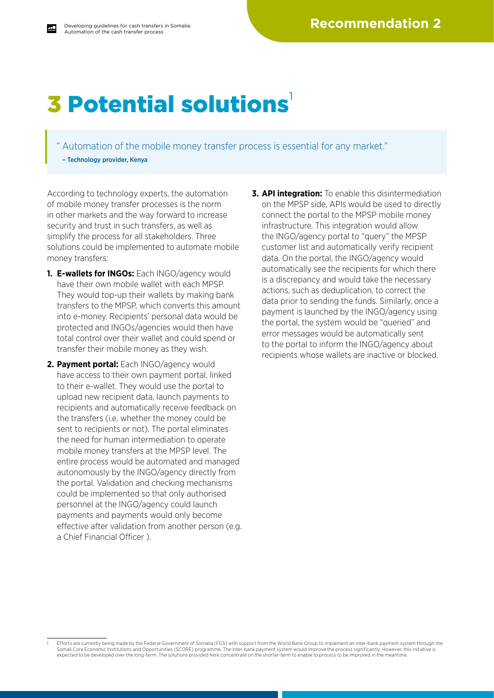## **3 Potential solutions**

Automation of the mobile money transfer process is essential for any market." – Technology provider, Kenya

According to technology experts, the automation of mobile money transfer processes is the norm in other markets and the way forward to increase security and trust in such transfers, as well as simplify the process for all stakeholders. Three solutions could be implemented to automate mobile money transfers:

- **1. E-wallets for INGOs:** Each INGO/agency would have their own mobile wallet with each MPSP. They would top-up their wallets by making bank transfers to the MPSP, which converts this amount into e-money. Recipients' personal data would be protected and INGOs/agencies would then have total control over their wallet and could spend or transfer their mobile money as they wish.
- **2. Payment portal:** Each INGO/agency would have access to their own payment portal, linked to their e-wallet. They would use the portal to upload new recipient data, launch payments to recipients and automatically receive feedback on the transfers (i.e. whether the money could be sent to recipients or not). The portal eliminates the need for human intermediation to operate mobile money transfers at the MPSP level. The entire process would be automated and managed autonomously by the INGO/agency directly from the portal. Validation and checking mechanisms could be implemented so that only authorised personnel at the INGO/agency could launch payments and payments would only become effective after validation from another person (e.g. a Chief Financial Officer ).
- **3. API integration:** To enable this disintermediation on the MPSP side, APIs would be used to directly connect the portal to the MPSP mobile money infrastructure. This integration would allow the INGO/agency portal to "query" the MPSP customer list and automatically verify recipient data. On the portal, the INGO/agency would automatically see the recipients for which there is a discrepancy and would take the necessary actions, such as deduplication, to correct the data prior to sending the funds. Similarly, once a payment is launched by the INGO/agency using the portal, the system would be "queried" and error messages would be automatically sent to the portal to inform the INGO/agency about recipients whose wallets are inactive or blocked.

<sup>1</sup> Efforts are currently being made by the Federal Government of Somalia (FGS) with support from the World Bank Group to implement an inter-bank payment system through the Somali Core Economic Institutions and Opportunities (SCORE) programme. The inter-bank payment system would improve the process significantly. However, this initiative is expected to be developed over the long-term. The solutions provided here concentrate on the shorter-term to enable to process to be improved in the meantime.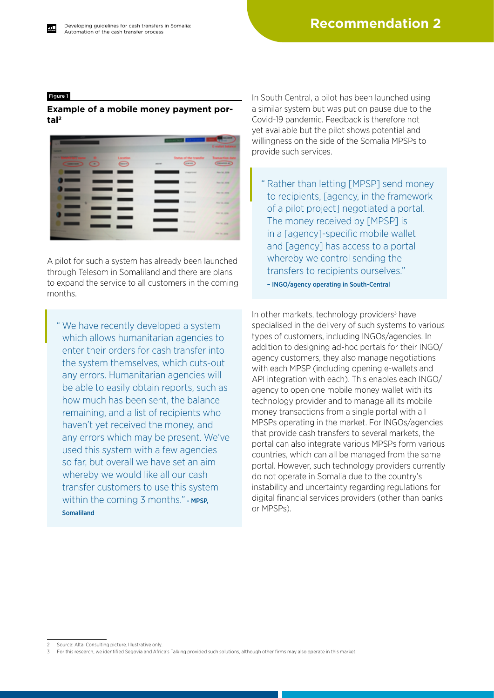#### Figure 1

#### **Example of a mobile money payment portal2**



A pilot for such a system has already been launched through Telesom in Somaliland and there are plans to expand the service to all customers in the coming months.

" We have recently developed a system which allows humanitarian agencies to enter their orders for cash transfer into the system themselves, which cuts-out any errors. Humanitarian agencies will be able to easily obtain reports, such as how much has been sent, the balance remaining, and a list of recipients who haven't yet received the money, and any errors which may be present. We've used this system with a few agencies so far, but overall we have set an aim whereby we would like all our cash transfer customers to use this system within the coming  $3$  months." - MPSP. Somaliland

In South Central, a pilot has been launched using a similar system but was put on pause due to the Covid-19 pandemic. Feedback is therefore not yet available but the pilot shows potential and willingness on the side of the Somalia MPSPs to provide such services.

" Rather than letting [MPSP] send money to recipients, [agency, in the framework of a pilot project] negotiated a portal. The money received by [MPSP] is in a [agency]-specific mobile wallet and [agency] has access to a portal whereby we control sending the transfers to recipients ourselves."

– INGO/agency operating in South-Central

In other markets, technology providers $3$  have specialised in the delivery of such systems to various types of customers, including INGOs/agencies. In addition to designing ad-hoc portals for their INGO/ agency customers, they also manage negotiations with each MPSP (including opening e-wallets and API integration with each). This enables each INGO/ agency to open one mobile money wallet with its technology provider and to manage all its mobile money transactions from a single portal with all MPSPs operating in the market. For INGOs/agencies that provide cash transfers to several markets, the portal can also integrate various MPSPs form various countries, which can all be managed from the same portal. However, such technology providers currently do not operate in Somalia due to the country's instability and uncertainty regarding regulations for digital financial services providers (other than banks or MPSPs).

Source: Altai Consulting picture. Illustrative only.

<sup>3</sup> For this research, we identified Segovia and Africa's Talking provided such solutions, although other firms may also operate in this market.